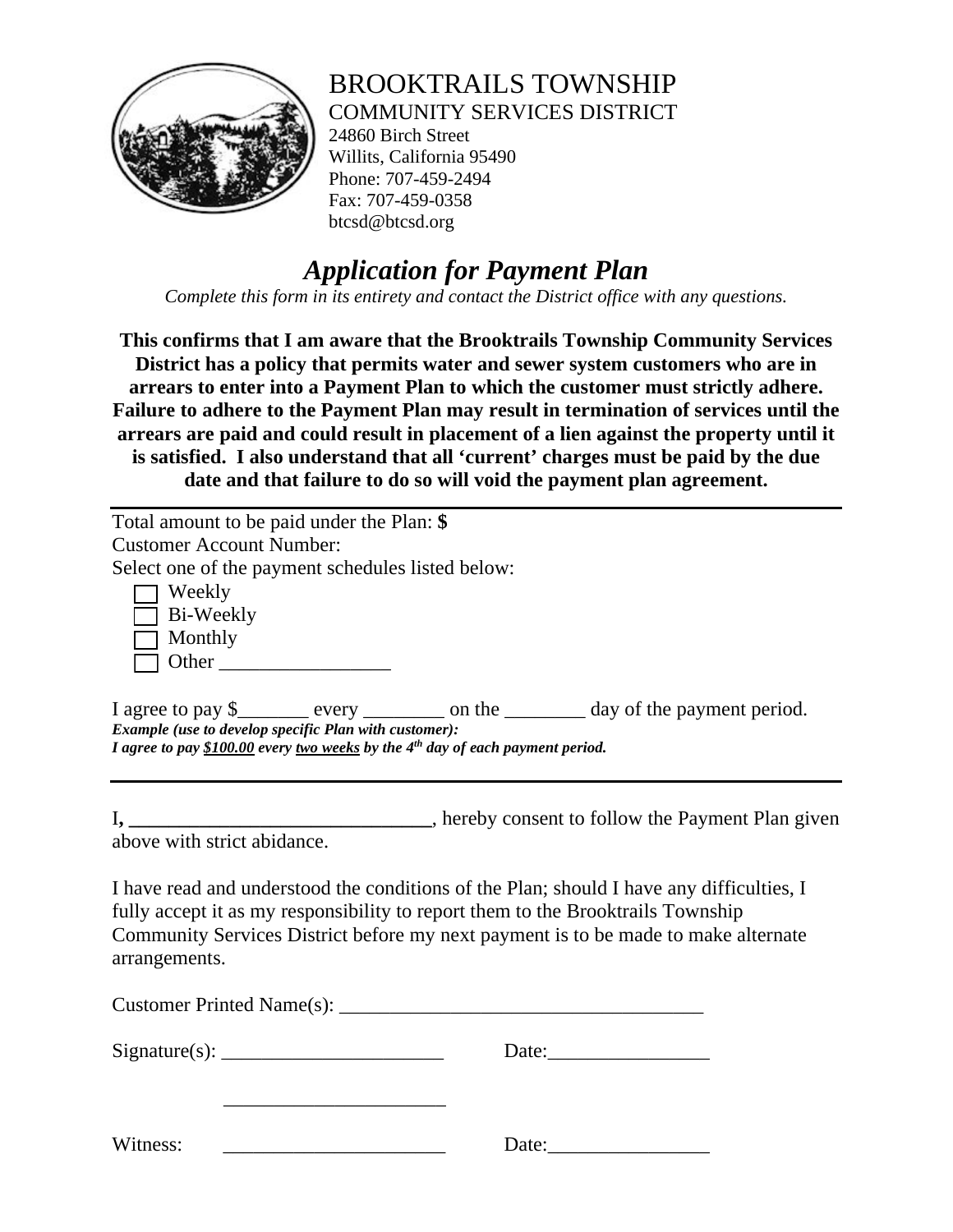

## BROOKTRAILS TOWNSHIP COMMUNITY SERVICES DISTRICT

24860 Birch Street Willits, California 95490 Phone: 707-459-2494 Fax: 707-459-0358 btcsd@btcsd.org

## *Application for Payment Plan*

*Complete this form in its entirety and contact the District office with any questions.* 

**This confirms that I am aware that the Brooktrails Township Community Services District has a policy that permits water and sewer system customers who are in arrears to enter into a Payment Plan to which the customer must strictly adhere. Failure to adhere to the Payment Plan may result in termination of services until the arrears are paid and could result in placement of a lien against the property until it is satisfied. I also understand that all 'current' charges must be paid by the due date and that failure to do so will void the payment plan agreement.** 

Total amount to be paid under the Plan: **\$** Customer Account Number: Select one of the payment schedules listed below: 1 Weekly 1 Bi-Weekly 1 Monthly o Other \_\_\_\_\_\_\_\_\_\_\_\_\_\_\_\_\_ I agree to pay \$\_\_\_\_\_\_\_ every \_\_\_\_\_\_\_\_ on the \_\_\_\_\_\_\_\_ day of the payment period. *Example (use to develop specific Plan with customer): I agree to pay \$100.00 every two weeks by the 4th day of each payment period.*

I**, \_\_\_\_\_\_\_\_\_\_\_\_\_\_\_\_\_\_\_\_\_\_\_\_\_\_\_\_\_\_**, hereby consent to follow the Payment Plan given above with strict abidance.

I have read and understood the conditions of the Plan; should I have any difficulties, I fully accept it as my responsibility to report them to the Brooktrails Township Community Services District before my next payment is to be made to make alternate arrangements.

|          | Date:                 |
|----------|-----------------------|
|          |                       |
| Witness: | Date: $\qquad \qquad$ |